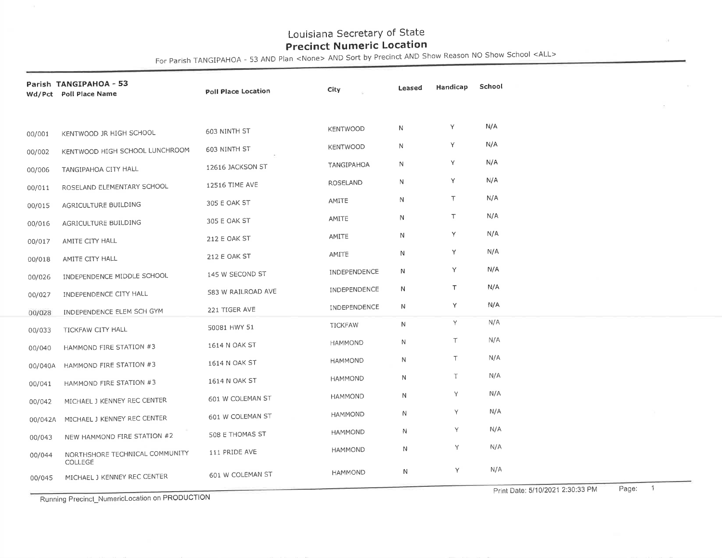For Parish TANGIPAHOA - 53 AND Plan <None> AND Sort by Precinct AND Show Reason No Show School <ALL

|         | Parish TANGIPAHOA - 53<br>Wd/Pct Poll Place Name | Poll Place Location | City                | Leased       | Handicap | School      |
|---------|--------------------------------------------------|---------------------|---------------------|--------------|----------|-------------|
|         |                                                  |                     |                     |              |          |             |
| 00/001  | KENTWOOD JR HIGH SCHOOL                          | 603 NINTH ST        | <b>KENTWOOD</b>     | Ν            | Υ        | N/A         |
| 00/002  | KENTWOOD HIGH SCHOOL LUNCHROOM                   | 603 NINTH ST        | <b>KENTWOOD</b>     | N            | Υ        | N/A         |
| 00/006  | TANGIPAHOA CITY HALL                             | 12616 JACKSON ST    | TANGIPAHOA          | N            | Υ        | N/A         |
| 00/011  | ROSELAND ELEMENTARY SCHOOL                       | 12516 TIME AVE      | <b>ROSELAND</b>     | N            | Y        | N/A         |
| 00/015  | AGRICULTURE BUILDING                             | 305 E OAK ST        | AMITE               | N            | T        | N/A         |
| 00/016  | AGRICULTURE BUILDING                             | 305 E OAK ST        | AMITE               | N            | T        | N/A         |
| 00/017  | AMITE CITY HALL                                  | 212 E OAK ST        | AMITE               | $\mathsf{N}$ | Υ        | N/A         |
| 00/018  | AMITE CITY HALL                                  | 212 E OAK ST        | AMITE               | N            | Υ        | N/A         |
| 00/026  | INDEPENDENCE MIDDLE SCHOOL                       | 145 W SECOND ST     | INDEPENDENCE        | $\mathsf{N}$ | Y        | N/A         |
| 00/027  | INDEPENDENCE CITY HALL                           | 583 W RAILROAD AVE  | <b>INDEPENDENCE</b> | N            | T        | N/A         |
| 00/028  | INDEPENDENCE ELEM SCH GYM                        | 221 TIGER AVE       | INDEPENDENCE        | N            | Y        | N/A         |
| 00/033  | TICKFAW CITY HALL                                | 50081 HWY 51        | <b>TICKFAW</b>      | N            | Y.       | N/A         |
| 00/040  | HAMMOND FIRE STATION #3                          | 1614 N OAK ST       | <b>HAMMOND</b>      | N            | Τ        | N/A         |
| 00/040A | HAMMOND FIRE STATION #3                          | 1614 N OAK ST       | <b>HAMMOND</b>      | N            | Τ        | N/A         |
| 00/041  | HAMMOND FIRE STATION #3                          | 1614 N OAK ST       | <b>HAMMOND</b>      | N            | T        | N/A         |
| 00/042  | MICHAEL J KENNEY REC CENTER                      | 601 W COLEMAN ST    | <b>HAMMOND</b>      | N            | Y.       | N/A         |
| 00/042A | MICHAEL J KENNEY REC CENTER                      | 601 W COLEMAN ST    | <b>HAMMOND</b>      | N            | Υ        | N/A         |
| 00/043  | NEW HAMMOND FIRE STATION #2                      | 508 E THOMAS ST     | <b>HAMMOND</b>      | N            | Y        | N/A         |
| 00/044  | NORTHSHORE TECHNICAL COMMUNITY                   | 111 PRIDE AVE       | <b>HAMMOND</b>      | N            | Y        | N/A         |
|         | <b>COLLEGE</b>                                   |                     | <b>HAMMOND</b>      | Ν            | Υ        | N/A         |
| 00/045  | MICHAEL J KENNEY REC CENTER                      | 601 W COLEMAN ST    |                     |              |          | $D0 \sim 1$ |

Running Precinct-NumericLocation on PRODUCTION

Page: Print Date: 511012021 2:30:33 PM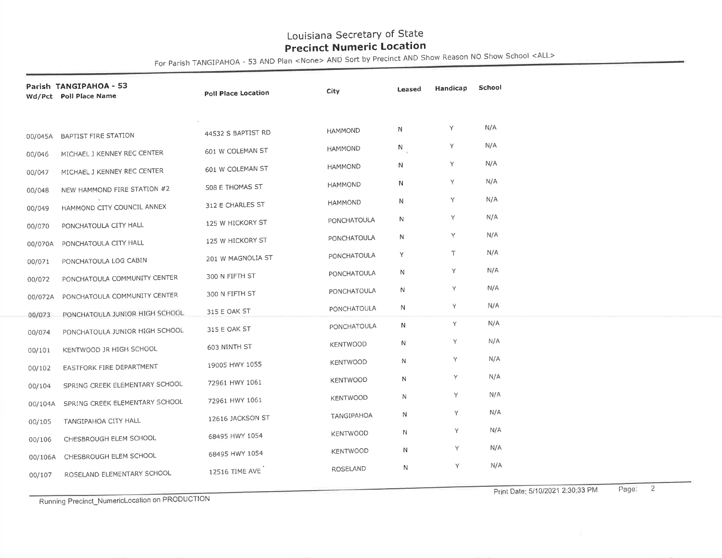For Parish TANGIPAHOA - 53 AND Plan <None> AND Sort by Precinct AND Show Reason NO Show School <ALL>

| Parish TANGIPAHOA - 53<br>Wd/Pct Poll Place Name |                                | Poll Place Location | City               | Leased      | Handicap | School |
|--------------------------------------------------|--------------------------------|---------------------|--------------------|-------------|----------|--------|
|                                                  |                                |                     |                    |             |          |        |
|                                                  | 00/045A BAPTIST FIRE STATION   | 44532 S BAPTIST RD  | <b>HAMMOND</b>     | N           | Y        | N/A    |
| 00/046                                           | MICHAEL J KENNEY REC CENTER    | 601 W COLEMAN ST    | <b>HAMMOND</b>     | $N_{\odot}$ | Y        | N/A    |
| 00/047                                           | MICHAEL J KENNEY REC CENTER    | 601 W COLEMAN ST    | <b>HAMMOND</b>     | N           | Υ        | N/A    |
| 00/048                                           | NEW HAMMOND FIRE STATION #2    | 508 E THOMAS ST     | <b>HAMMOND</b>     | N           | Y        | N/A    |
| 00/049                                           | HAMMOND CITY COUNCIL ANNEX     | 312 E CHARLES ST    | <b>HAMMOND</b>     | N           | Y        | N/A    |
| 00/070                                           | PONCHATOULA CITY HALL          | 125 W HICKORY ST    | <b>PONCHATOULA</b> | N           | Y        | N/A    |
| 00/070A                                          | PONCHATOULA CITY HALL          | 125 W HICKORY ST    | <b>PONCHATOULA</b> | N           | Y        | N/A    |
| 00/071                                           | PONCHATOULA LOG CABIN          | 201 W MAGNOLIA ST   | <b>PONCHATOULA</b> | Y           | T        | N/A    |
| 00/072                                           | PONCHATOULA COMMUNITY CENTER   | 300 N FIFTH ST      | PONCHATOULA        | N           | Υ        | N/A    |
| 00/072A                                          | PONCHATOULA COMMUNITY CENTER   | 300 N FIFTH ST      | <b>PONCHATOULA</b> | $\mathbb N$ | Y        | N/A    |
| 00/073                                           | PONCHATOULA JUNIOR HIGH SCHOOL | 315 E OAK ST        | <b>PONCHATOULA</b> | N           | Y        | N/A    |
| 00/074                                           | PONCHATOULA JUNIOR HIGH SCHOOL | 315 E OAK ST        | <b>PONCHATOULA</b> | N           | Y        | N/A    |
| 00/101                                           | KENTWOOD JR HIGH SCHOOL        | 603 NINTH ST        | <b>KENTWOOD</b>    | N           | Y        | N/A    |
| 00/102                                           | EASTFORK FIRE DEPARTMENT       | 19005 HWY 1055      | <b>KENTWOOD</b>    | N           | Y        | N/A    |
| 00/104                                           | SPRING CREEK ELEMENTARY SCHOOL | 72961 HWY 1061      | <b>KENTWOOD</b>    | N           | Y        | N/A    |
| 00/104A                                          | SPRING CREEK ELEMENTARY SCHOOL | 72961 HWY 1061      | <b>KENTWOOD</b>    | N           | Υ        | N/A    |
| 00/105                                           | TANGIPAHOA CITY HALL           | 12616 JACKSON ST    | TANGIPAHOA         | N           | Y        | N/A    |
| 00/106                                           | CHESBROUGH ELEM SCHOOL         | 68495 HWY 1054      | <b>KENTWOOD</b>    | N           | Y        | N/A    |
| 00/106A                                          | CHESBROUGH ELEM SCHOOL         | 68495 HWY 1054      | <b>KENTWOOD</b>    | N           | Υ        | N/A    |
| 00/107                                           | ROSELAND ELEMENTARY SCHOOL     | 12516 TIME AVE      | ROSELAND           | N           | Υ        | N/A    |
|                                                  |                                |                     |                    |             |          |        |

Running Precinct\_NumericLocation on PRODUCTION

Print Date: 511012021 2:30:33 PM Page: 2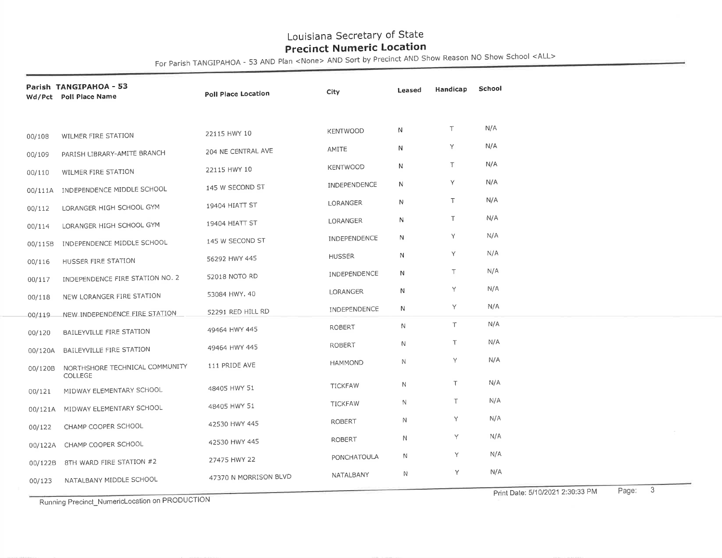For Parish TANGIPAHOA - 53 AND Plan <None> AND Sort by Precinct AND Show Reason NO Show School <ALL>

|           | Parish TANGIPAHOA - 53<br>Wd/Pct Poll Place Name | Poll Place Location   | City                | Leased       | Handicap | School |  |
|-----------|--------------------------------------------------|-----------------------|---------------------|--------------|----------|--------|--|
|           |                                                  |                       |                     |              |          |        |  |
| 00/108    | WILMER FIRE STATION                              | 22115 HWY 10          | <b>KENTWOOD</b>     | N            | T        | N/A    |  |
| 00/109    | PARISH LIBRARY-AMITE BRANCH                      | 204 NE CENTRAL AVE    | AMITE               | N            | Y        | N/A    |  |
| 00/110    | WILMER FIRE STATION                              | 22115 HWY 10          | <b>KENTWOOD</b>     | N            | T        | N/A    |  |
|           | 00/111A INDEPENDENCE MIDDLE SCHOOL               | 145 W SECOND ST       | <b>INDEPENDENCE</b> | N            | Y        | N/A    |  |
| 00/112    | LORANGER HIGH SCHOOL GYM                         | 19404 HIATT ST        | <b>LORANGER</b>     | N            | $\top$   | N/A    |  |
| 00/114    | LORANGER HIGH SCHOOL GYM                         | 19404 HIATT ST        | LORANGER            | N            | $\top$   | N/A    |  |
| 00/115B   | INDEPENDENCE MIDDLE SCHOOL                       | 145 W SECOND ST       | INDEPENDENCE        | N            | Y        | N/A    |  |
| 00/116    | HUSSER FIRE STATION                              | 56292 HWY 445         | <b>HUSSER</b>       | N            | Y        | N/A    |  |
| 00/117    | INDEPENDENCE FIRE STATION NO. 2                  | 52018 NOTO RD         | INDEPENDENCE        | N            | $\top$   | N/A    |  |
| 00/118    | NEW LORANGER FIRE STATION                        | 53084 HWY, 40         | LORANGER            | N            | Υ        | N/A    |  |
| $-00/119$ | -NEW-INDEPENDENCE FIRE STATION                   | 52291 RED HILL RD     | <b>INDEPENDENCE</b> | N            | Y        | N/A    |  |
| 00/120    | BAILEYVILLE FIRE STATION                         | 49464 HWY 445         | <b>ROBERT</b>       | N            | T        | N/A    |  |
| 00/120A   | BAILEYVILLE FIRE STATION                         | 49464 HWY 445         | <b>ROBERT</b>       | Ν            | $\top$   | N/A    |  |
| 00/120B   | NORTHSHORE TECHNICAL COMMUNITY<br>COLLEGE        | 111 PRIDE AVE         | <b>HAMMOND</b>      | N.           | Y        | N/A    |  |
| 00/121    | MIDWAY ELEMENTARY SCHOOL                         | 48405 HWY 51          | <b>TICKFAW</b>      | N            | T.       | N/A    |  |
|           | 00/121A MIDWAY ELEMENTARY SCHOOL                 | 48405 HWY 51          | <b>TICKFAW</b>      | N            | $\top$   | N/A    |  |
| 00/122    | CHAMP COOPER SCHOOL                              | 42530 HWY 445         | <b>ROBERT</b>       | N            | Y        | N/A    |  |
| 00/122A   | CHAMP COOPER SCHOOL                              | 42530 HWY 445         | <b>ROBERT</b>       | $\mathsf{N}$ | Y        | N/A    |  |
| 00/122B   | 8TH WARD FIRE STATION #2                         | 27475 HWY 22          | <b>PONCHATOULA</b>  | Ν            | Y        | N/A    |  |
| 00/123    | NATALBANY MIDDLE SCHOOL                          | 47370 N MORRISON BLVD | NATALBANY           | N            | Y        | N/A    |  |
|           |                                                  |                       |                     |              |          | Dao: 3 |  |

Running Precinct\_NumericLocation on PRODUCTION

Print Date: 5/10/2021 2:30:33 PM Page: 3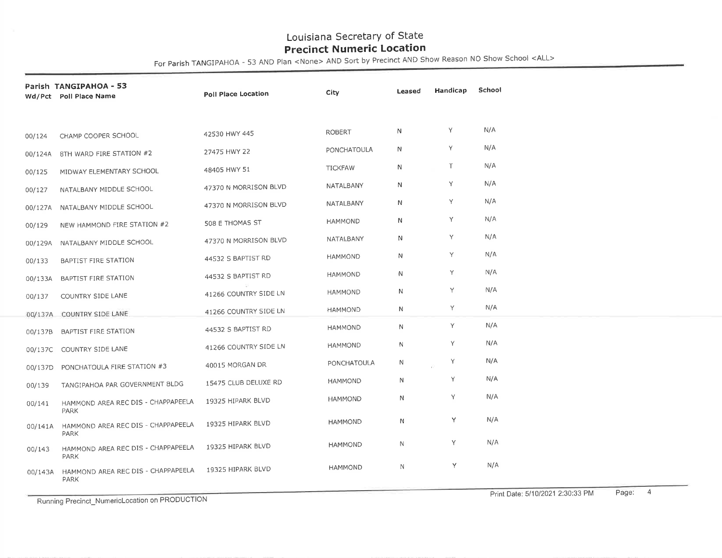For Parish TAN GIPAHOA - 53 AND Plan <None> AND Sott by Precinct AND Show Reason NO Show School <ALL>

|         | Parish TANGIPAHOA - 53<br>Wd/Pct Poll Place Name                 | Poll Place Location   | City           | Leased       | Handicap | School |
|---------|------------------------------------------------------------------|-----------------------|----------------|--------------|----------|--------|
|         |                                                                  |                       |                |              |          |        |
| 00/124  | CHAMP COOPER SCHOOL                                              | 42530 HWY 445         | <b>ROBERT</b>  | N            | Υ        | N/A    |
|         | 00/124A 8TH WARD FIRE STATION #2                                 | 27475 HWY 22          | PONCHATOULA    | N            | Υ        | N/A    |
| 00/125  | MIDWAY ELEMENTARY SCHOOL                                         | 48405 HWY 51          | <b>TICKFAW</b> | $\mathsf{N}$ | T        | N/A    |
| 00/127  | NATALBANY MIDDLE SCHOOL                                          | 47370 N MORRISON BLVD | NATALBANY      | N            | Y        | N/A    |
|         | 00/127A NATALBANY MIDDLE SCHOOL                                  | 47370 N MORRISON BLVD | NATALBANY      | N            | Y        | N/A    |
| 00/129  | NEW HAMMOND FIRE STATION #2                                      | 508 E THOMAS ST       | <b>HAMMOND</b> | $\mathsf{N}$ | Y        | N/A    |
| 00/129A | NATALBANY MIDDLE SCHOOL                                          | 47370 N MORRISON BLVD | NATALBANY      | N            | Y.       | N/A    |
| 00/133  | BAPTIST FIRE STATION                                             | 44532 S BAPTIST RD    | <b>HAMMOND</b> | $\mathsf{N}$ | Y        | N/A    |
| 00/133A | BAPTIST FIRE STATION                                             | 44532 S BAPTIST RD    | <b>HAMMOND</b> | $\mathsf{N}$ | Y        | N/A    |
| 00/137  | COUNTRY SIDE LANE                                                | 41266 COUNTRY SIDE LN | <b>HAMMOND</b> | $\mathsf{N}$ | Y        | N/A    |
|         | 00/137A COUNTRY SIDE LANE                                        | 41266 COUNTRY SIDE LN | <b>HAMMOND</b> | N            | Y        | N/A    |
| 00/137B | <b>BAPTIST FIRE STATION</b>                                      | 44532 S BAPTIST RD    | <b>HAMMOND</b> | $\mathsf{N}$ | Y.       | N/A    |
|         | 00/137C COUNTRY SIDE LANE                                        | 41266 COUNTRY SIDE LN | <b>HAMMOND</b> | N            | Y        | N/A    |
| 00/137D | PONCHATOULA FIRE STATION #3                                      | 40015 MORGAN DR       | PONCHATOULA    | N            | Y        | N/A    |
| 00/139  | TANGIPAHOA PAR GOVERNMENT BLDG                                   | 15475 CLUB DELUXE RD  | <b>HAMMOND</b> | N            | Y        | N/A    |
| 00/141  | HAMMOND AREA REC DIS - CHAPPAPEELA                               | 19325 HIPARK BLVD     | <b>HAMMOND</b> | N            | Y        | N/A    |
| 00/141A | <b>PARK</b><br>HAMMOND AREA REC DIS - CHAPPAPEELA<br><b>PARK</b> | 19325 HIPARK BLVD     | <b>HAMMOND</b> | $\mathsf{N}$ | Y.       | N/A    |
| 00/143  | HAMMOND AREA REC DIS - CHAPPAPEELA<br><b>PARK</b>                | 19325 HIPARK BLVD     | <b>HAMMOND</b> | $\mathbb N$  | Y        | N/A    |
| 00/143A | HAMMOND AREA REC DIS - CHAPPAPEELA<br><b>PARK</b>                | 19325 HIPARK BLVD     | <b>HAMMOND</b> | N            | Y        | N/A    |

Running Precinct-NumericLocation on PRODUCTION

Print Date: 5/10/2021 2:30:33 PM Page: 4